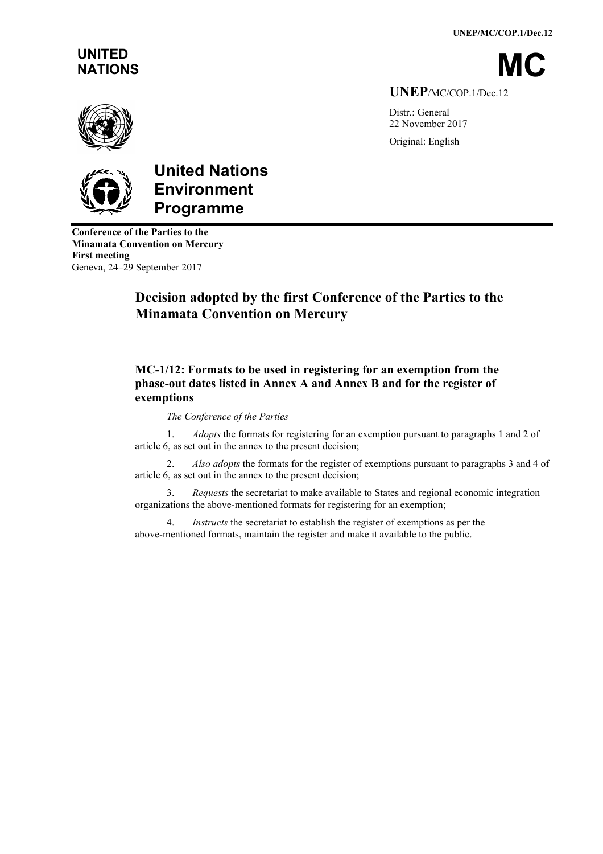**UNEP/MC/COP.1/Dec.12**

# **UNITED**

NATIONS **UNEP**/MC/COP.1/Dec.12

> Distr.: General 22 November 2017 Original: English



# **United Nations Environment Programme**

**Conference of the Parties to the Minamata Convention on Mercury First meeting** Geneva, 24–29 September 2017

# **Decision adopted by the first Conference of the Parties to the Minamata Convention on Mercury**

# **MC-1/12: Formats to be used in registering for an exemption from the phase-out dates listed in Annex A and Annex B and for the register of exemptions**

## *The Conference of the Parties*

1. *Adopts* the formats for registering for an exemption pursuant to paragraphs 1 and 2 of article 6, as set out in the annex to the present decision;

2. *Also adopts* the formats for the register of exemptions pursuant to paragraphs 3 and 4 of article 6, as set out in the annex to the present decision;

3. *Requests* the secretariat to make available to States and regional economic integration organizations the above-mentioned formats for registering for an exemption;

4. *Instructs* the secretariat to establish the register of exemptions as per the above-mentioned formats, maintain the register and make it available to the public.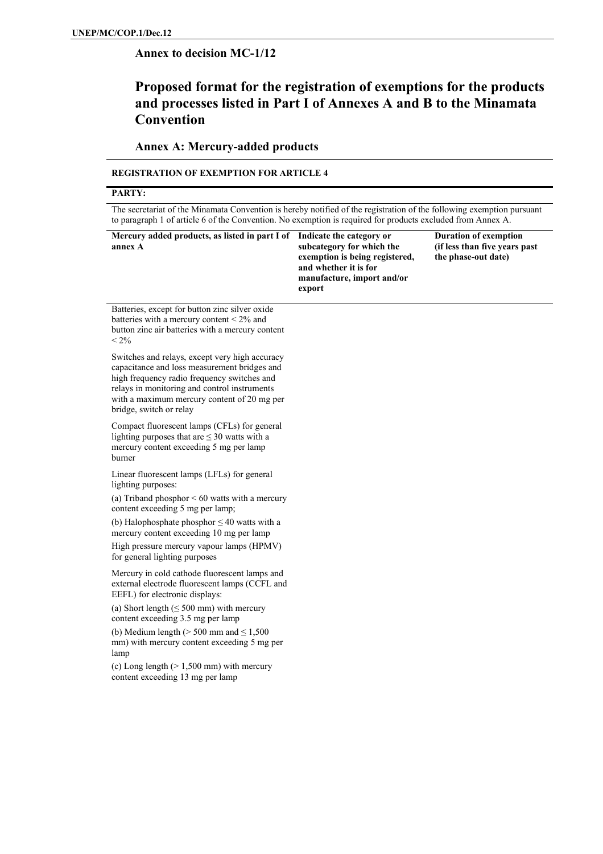## **Annex to decision MC-1/12**

# **Proposed format for the registration of exemptions for the products and processes listed in Part I of Annexes A and B to the Minamata Convention**

## **Annex A: Mercury-added products**

#### **REGISTRATION OF EXEMPTION FOR ARTICLE 4**

#### **PARTY:**

The secretariat of the Minamata Convention is hereby notified of the registration of the following exemption pursuant to paragraph 1 of article 6 of the Convention. No exemption is required for products excluded from Annex A.

| Mercury added products, as listed in part I of<br>annex A                                                                                                                                                                                                               | Indicate the category or<br>subcategory for which the<br>exemption is being registered,<br>and whether it is for<br>manufacture, import and/or<br>export | <b>Duration of exemption</b><br>(if less than five years past<br>the phase-out date) |
|-------------------------------------------------------------------------------------------------------------------------------------------------------------------------------------------------------------------------------------------------------------------------|----------------------------------------------------------------------------------------------------------------------------------------------------------|--------------------------------------------------------------------------------------|
| Batteries, except for button zinc silver oxide<br>batteries with a mercury content < 2% and<br>button zinc air batteries with a mercury content<br>$< 2\%$                                                                                                              |                                                                                                                                                          |                                                                                      |
| Switches and relays, except very high accuracy<br>capacitance and loss measurement bridges and<br>high frequency radio frequency switches and<br>relays in monitoring and control instruments<br>with a maximum mercury content of 20 mg per<br>bridge, switch or relay |                                                                                                                                                          |                                                                                      |
| Compact fluorescent lamps (CFLs) for general<br>lighting purposes that are $\leq$ 30 watts with a<br>mercury content exceeding 5 mg per lamp<br>burner                                                                                                                  |                                                                                                                                                          |                                                                                      |
| Linear fluorescent lamps (LFLs) for general<br>lighting purposes:                                                                                                                                                                                                       |                                                                                                                                                          |                                                                                      |
| (a) Triband phosphor $\leq 60$ watts with a mercury<br>content exceeding 5 mg per lamp;                                                                                                                                                                                 |                                                                                                                                                          |                                                                                      |
| (b) Halophosphate phosphor $\leq$ 40 watts with a<br>mercury content exceeding 10 mg per lamp                                                                                                                                                                           |                                                                                                                                                          |                                                                                      |
| High pressure mercury vapour lamps (HPMV)<br>for general lighting purposes                                                                                                                                                                                              |                                                                                                                                                          |                                                                                      |
| Mercury in cold cathode fluorescent lamps and<br>external electrode fluorescent lamps (CCFL and<br>EEFL) for electronic displays:                                                                                                                                       |                                                                                                                                                          |                                                                                      |
| (a) Short length $(\leq 500 \text{ mm})$ with mercury<br>content exceeding 3.5 mg per lamp                                                                                                                                                                              |                                                                                                                                                          |                                                                                      |
| (b) Medium length ( $> 500$ mm and $\leq 1,500$<br>mm) with mercury content exceeding 5 mg per<br>lamp                                                                                                                                                                  |                                                                                                                                                          |                                                                                      |
| (c) Long length $(>1,500 \text{ mm})$ with mercury<br>content exceeding 13 mg per lamp                                                                                                                                                                                  |                                                                                                                                                          |                                                                                      |
|                                                                                                                                                                                                                                                                         |                                                                                                                                                          |                                                                                      |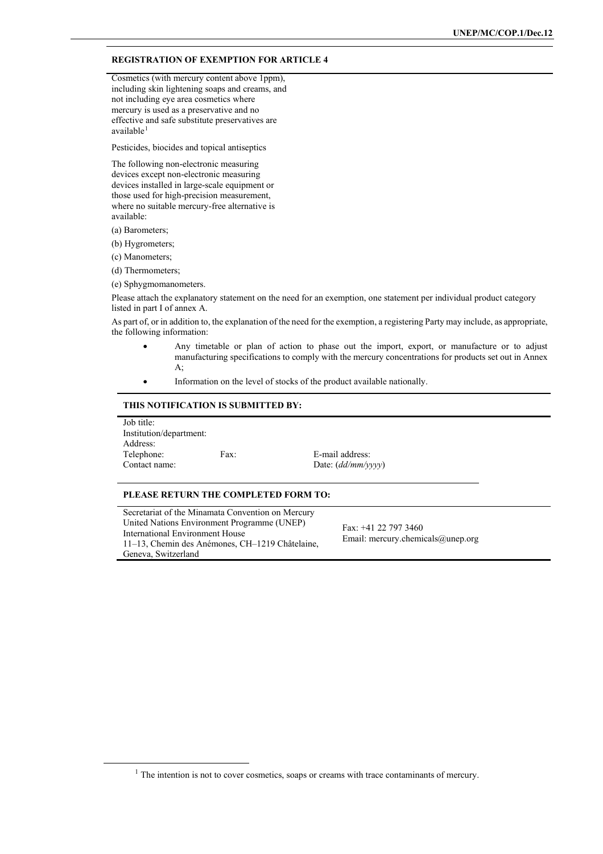#### **REGISTRATION OF EXEMPTION FOR ARTICLE 4**

Cosmetics (with mercury content above 1ppm), including skin lightening soaps and creams, and not including eye area cosmetics where mercury is used as a preservative and no effective and safe substitute preservatives are available<sup>[1](#page-2-0)</sup>

Pesticides, biocides and topical antiseptics

The following non-electronic measuring devices except non-electronic measuring devices installed in large-scale equipment or those used for high-precision measurement, where no suitable mercury-free alternative is available:

(a) Barometers;

(b) Hygrometers;

(c) Manometers;

(d) Thermometers;

(e) Sphygmomanometers.

Please attach the explanatory statement on the need for an exemption, one statement per individual product category listed in part I of annex A.

As part of, or in addition to, the explanation of the need for the exemption, a registering Party may include, as appropriate, the following information:

- Any timetable or plan of action to phase out the import, export, or manufacture or to adjust manufacturing specifications to comply with the mercury concentrations for products set out in Annex A;
- Information on the level of stocks of the product available nationally.

#### **THIS NOTIFICATION IS SUBMITTED BY:**

Job title: Institution/department: Address:<br>Telephone: Telephone: Fax: E-mail address:<br>Contact name: Date: (dd/mm/y

Date: (*dd/mm/yyyy*)

#### **PLEASE RETURN THE COMPLETED FORM TO:**

Secretariat of the Minamata Convention on Mercury United Nations Environment Programme (UNEP) International Environment House 11–13, Chemin des Anémones, CH–1219 Châtelaine, Geneva, Switzerland

Fax: +41 22 797 3460 Email: mercury.chemicals@unep.org

<span id="page-2-0"></span><sup>&</sup>lt;sup>1</sup> The intention is not to cover cosmetics, soaps or creams with trace contaminants of mercury.